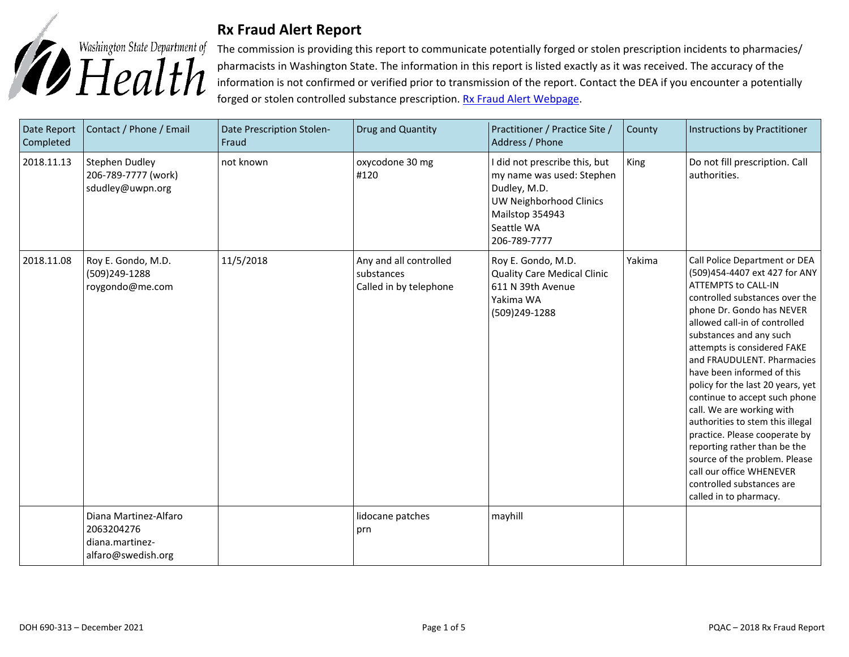

## **Rx Fraud Alert Report**

The commission is providing this report to communicate potentially forged or stolen prescription incidents to pharmacies/ pharmacists in Washington State. The information in this report is listed exactly as it was received. The accuracy of the information is not confirmed or verified prior to transmission of the report. Contact the DEA if you encounter a potentially forged or stolen controlled substance prescription. [Rx Fraud Alert Webpage.](https://www.doh.wa.gov/LicensesPermitsandCertificates/ProfessionsNewReneworUpdate/PharmacyCommission/RxFraudAlerts)

| Date Report<br>Completed | Contact / Phone / Email                                                      | Date Prescription Stolen-<br>Fraud | Drug and Quantity                                              | Practitioner / Practice Site /<br>Address / Phone                                                                                                             | County      | Instructions by Practitioner                                                                                                                                                                                                                                                                                                                                                                                                                                                                                                                                                                                                                   |
|--------------------------|------------------------------------------------------------------------------|------------------------------------|----------------------------------------------------------------|---------------------------------------------------------------------------------------------------------------------------------------------------------------|-------------|------------------------------------------------------------------------------------------------------------------------------------------------------------------------------------------------------------------------------------------------------------------------------------------------------------------------------------------------------------------------------------------------------------------------------------------------------------------------------------------------------------------------------------------------------------------------------------------------------------------------------------------------|
| 2018.11.13               | <b>Stephen Dudley</b><br>206-789-7777 (work)<br>sdudley@uwpn.org             | not known                          | oxycodone 30 mg<br>#120                                        | I did not prescribe this, but<br>my name was used: Stephen<br>Dudley, M.D.<br><b>UW Neighborhood Clinics</b><br>Mailstop 354943<br>Seattle WA<br>206-789-7777 | <b>King</b> | Do not fill prescription. Call<br>authorities.                                                                                                                                                                                                                                                                                                                                                                                                                                                                                                                                                                                                 |
| 2018.11.08               | Roy E. Gondo, M.D.<br>(509)249-1288<br>roygondo@me.com                       | 11/5/2018                          | Any and all controlled<br>substances<br>Called in by telephone | Roy E. Gondo, M.D.<br><b>Quality Care Medical Clinic</b><br>611 N 39th Avenue<br>Yakima WA<br>(509)249-1288                                                   | Yakima      | Call Police Department or DEA<br>(509)454-4407 ext 427 for ANY<br><b>ATTEMPTS to CALL-IN</b><br>controlled substances over the<br>phone Dr. Gondo has NEVER<br>allowed call-in of controlled<br>substances and any such<br>attempts is considered FAKE<br>and FRAUDULENT. Pharmacies<br>have been informed of this<br>policy for the last 20 years, yet<br>continue to accept such phone<br>call. We are working with<br>authorities to stem this illegal<br>practice. Please cooperate by<br>reporting rather than be the<br>source of the problem. Please<br>call our office WHENEVER<br>controlled substances are<br>called in to pharmacy. |
|                          | Diana Martinez-Alfaro<br>2063204276<br>diana.martinez-<br>alfaro@swedish.org |                                    | lidocane patches<br>prn                                        | mayhill                                                                                                                                                       |             |                                                                                                                                                                                                                                                                                                                                                                                                                                                                                                                                                                                                                                                |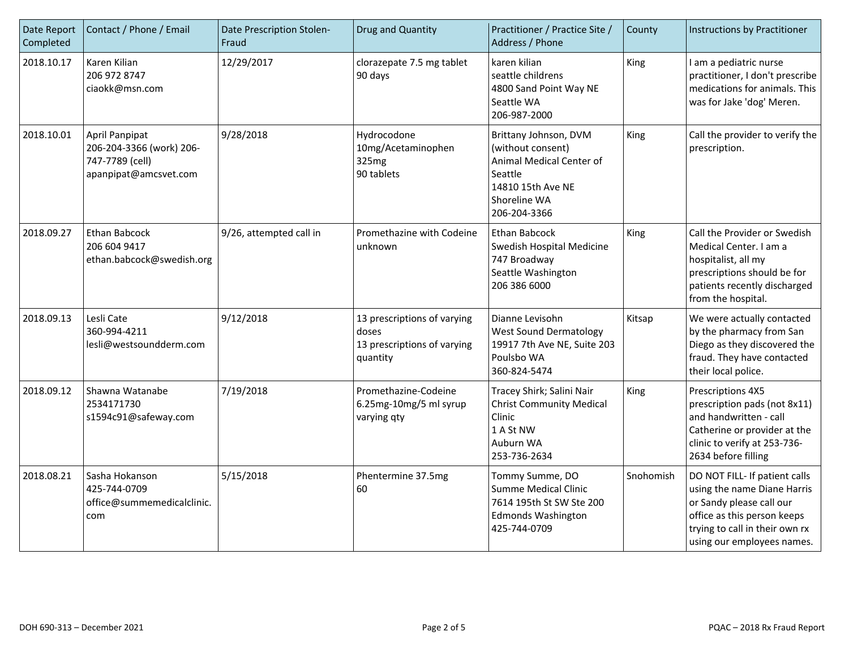| Date Report<br>Completed | Contact / Phone / Email                                                                | Date Prescription Stolen-<br>Fraud | Drug and Quantity                                                               | Practitioner / Practice Site /<br>Address / Phone                                                                                      | County    | Instructions by Practitioner                                                                                                                                                            |
|--------------------------|----------------------------------------------------------------------------------------|------------------------------------|---------------------------------------------------------------------------------|----------------------------------------------------------------------------------------------------------------------------------------|-----------|-----------------------------------------------------------------------------------------------------------------------------------------------------------------------------------------|
| 2018.10.17               | Karen Kilian<br>206 972 8747<br>ciaokk@msn.com                                         | 12/29/2017                         | clorazepate 7.5 mg tablet<br>90 days                                            | karen kilian<br>seattle childrens<br>4800 Sand Point Way NE<br>Seattle WA<br>206-987-2000                                              | King      | I am a pediatric nurse<br>practitioner, I don't prescribe<br>medications for animals. This<br>was for Jake 'dog' Meren.                                                                 |
| 2018.10.01               | April Panpipat<br>206-204-3366 (work) 206-<br>747-7789 (cell)<br>apanpipat@amcsvet.com | 9/28/2018                          | Hydrocodone<br>10mg/Acetaminophen<br>325mg<br>90 tablets                        | Brittany Johnson, DVM<br>(without consent)<br>Animal Medical Center of<br>Seattle<br>14810 15th Ave NE<br>Shoreline WA<br>206-204-3366 | King      | Call the provider to verify the<br>prescription.                                                                                                                                        |
| 2018.09.27               | Ethan Babcock<br>206 604 9417<br>ethan.babcock@swedish.org                             | 9/26, attempted call in            | Promethazine with Codeine<br>unknown                                            | <b>Ethan Babcock</b><br>Swedish Hospital Medicine<br>747 Broadway<br>Seattle Washington<br>206 386 6000                                | King      | Call the Provider or Swedish<br>Medical Center, I am a<br>hospitalist, all my<br>prescriptions should be for<br>patients recently discharged<br>from the hospital.                      |
| 2018.09.13               | Lesli Cate<br>360-994-4211<br>lesli@westsoundderm.com                                  | 9/12/2018                          | 13 prescriptions of varying<br>doses<br>13 prescriptions of varying<br>quantity | Dianne Levisohn<br><b>West Sound Dermatology</b><br>19917 7th Ave NE, Suite 203<br>Poulsbo WA<br>360-824-5474                          | Kitsap    | We were actually contacted<br>by the pharmacy from San<br>Diego as they discovered the<br>fraud. They have contacted<br>their local police.                                             |
| 2018.09.12               | Shawna Watanabe<br>2534171730<br>s1594c91@safeway.com                                  | 7/19/2018                          | Promethazine-Codeine<br>6.25mg-10mg/5 ml syrup<br>varying qty                   | Tracey Shirk; Salini Nair<br><b>Christ Community Medical</b><br>Clinic<br>1 A St NW<br>Auburn WA<br>253-736-2634                       | King      | Prescriptions 4X5<br>prescription pads (not 8x11)<br>and handwritten - call<br>Catherine or provider at the<br>clinic to verify at 253-736-<br>2634 before filling                      |
| 2018.08.21               | Sasha Hokanson<br>425-744-0709<br>office@summemedicalclinic.<br>com                    | 5/15/2018                          | Phentermine 37.5mg<br>60                                                        | Tommy Summe, DO<br><b>Summe Medical Clinic</b><br>7614 195th St SW Ste 200<br><b>Edmonds Washington</b><br>425-744-0709                | Snohomish | DO NOT FILL- If patient calls<br>using the name Diane Harris<br>or Sandy please call our<br>office as this person keeps<br>trying to call in their own rx<br>using our employees names. |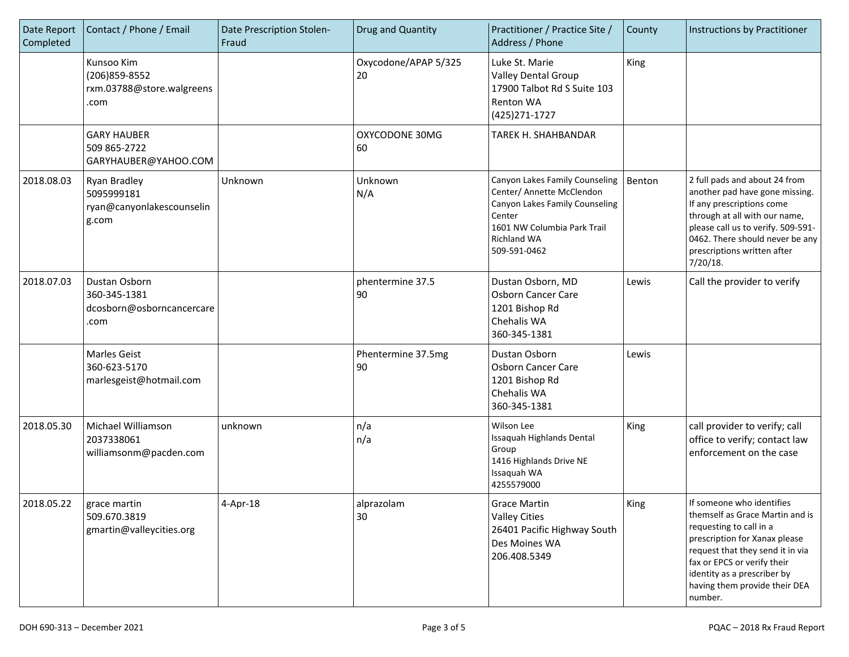| Date Report<br>Completed | Contact / Phone / Email                                            | Date Prescription Stolen-<br>Fraud | Drug and Quantity          | Practitioner / Practice Site /<br>Address / Phone                                                                                                                     | County | Instructions by Practitioner                                                                                                                                                                                                                                           |
|--------------------------|--------------------------------------------------------------------|------------------------------------|----------------------------|-----------------------------------------------------------------------------------------------------------------------------------------------------------------------|--------|------------------------------------------------------------------------------------------------------------------------------------------------------------------------------------------------------------------------------------------------------------------------|
|                          | Kunsoo Kim<br>(206) 859-8552<br>rxm.03788@store.walgreens<br>.com  |                                    | Oxycodone/APAP 5/325<br>20 | Luke St. Marie<br><b>Valley Dental Group</b><br>17900 Talbot Rd S Suite 103<br>Renton WA<br>(425) 271-1727                                                            | King   |                                                                                                                                                                                                                                                                        |
|                          | <b>GARY HAUBER</b><br>509 865-2722<br>GARYHAUBER@YAHOO.COM         |                                    | OXYCODONE 30MG<br>60       | TAREK H. SHAHBANDAR                                                                                                                                                   |        |                                                                                                                                                                                                                                                                        |
| 2018.08.03               | Ryan Bradley<br>5095999181<br>ryan@canyonlakescounselin<br>g.com   | Unknown                            | Unknown<br>N/A             | Canyon Lakes Family Counseling<br>Center/ Annette McClendon<br>Canyon Lakes Family Counseling<br>Center<br>1601 NW Columbia Park Trail<br>Richland WA<br>509-591-0462 | Benton | 2 full pads and about 24 from<br>another pad have gone missing.<br>If any prescriptions come<br>through at all with our name,<br>please call us to verify. 509-591-<br>0462. There should never be any<br>prescriptions written after<br>7/20/18.                      |
| 2018.07.03               | Dustan Osborn<br>360-345-1381<br>dcosborn@osborncancercare<br>.com |                                    | phentermine 37.5<br>90     | Dustan Osborn, MD<br>Osborn Cancer Care<br>1201 Bishop Rd<br>Chehalis WA<br>360-345-1381                                                                              | Lewis  | Call the provider to verify                                                                                                                                                                                                                                            |
|                          | Marles Geist<br>360-623-5170<br>marlesgeist@hotmail.com            |                                    | Phentermine 37.5mg<br>90   | Dustan Osborn<br>Osborn Cancer Care<br>1201 Bishop Rd<br>Chehalis WA<br>360-345-1381                                                                                  | Lewis  |                                                                                                                                                                                                                                                                        |
| 2018.05.30               | Michael Williamson<br>2037338061<br>williamsonm@pacden.com         | unknown                            | n/a<br>n/a                 | Wilson Lee<br>Issaquah Highlands Dental<br>Group<br>1416 Highlands Drive NE<br>Issaquah WA<br>4255579000                                                              | King   | call provider to verify; call<br>office to verify; contact law<br>enforcement on the case                                                                                                                                                                              |
| 2018.05.22               | grace martin<br>509.670.3819<br>gmartin@valleycities.org           | 4-Apr-18                           | alprazolam<br>30           | Grace Martin<br><b>Valley Cities</b><br>26401 Pacific Highway South<br>Des Moines WA<br>206.408.5349                                                                  | King   | If someone who identifies<br>themself as Grace Martin and is<br>requesting to call in a<br>prescription for Xanax please<br>request that they send it in via<br>fax or EPCS or verify their<br>identity as a prescriber by<br>having them provide their DEA<br>number. |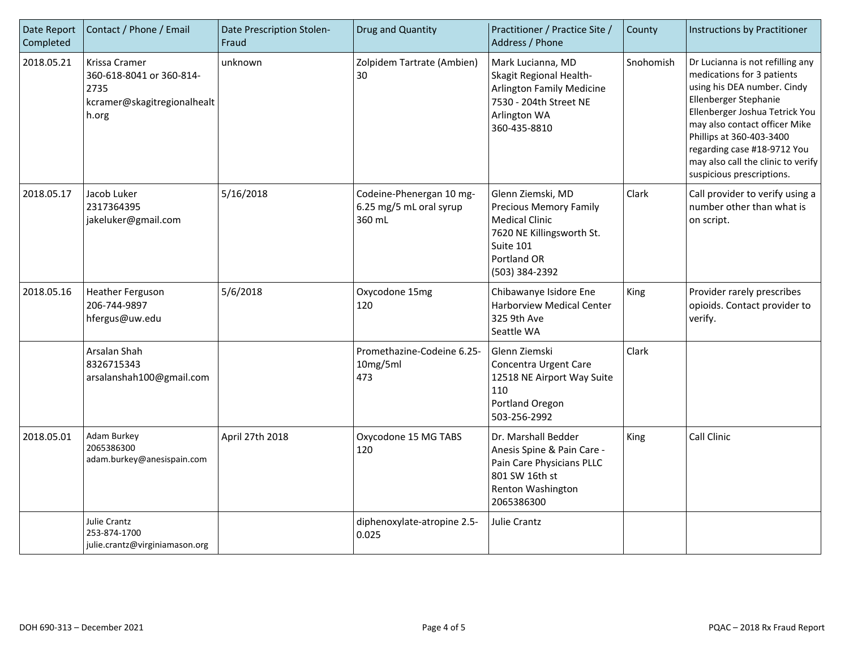| Date Report<br>Completed | Contact / Phone / Email                                                                   | Date Prescription Stolen-<br>Fraud | Drug and Quantity                                             | Practitioner / Practice Site /<br>Address / Phone                                                                                                      | County    | Instructions by Practitioner                                                                                                                                                                                                                                                                                            |
|--------------------------|-------------------------------------------------------------------------------------------|------------------------------------|---------------------------------------------------------------|--------------------------------------------------------------------------------------------------------------------------------------------------------|-----------|-------------------------------------------------------------------------------------------------------------------------------------------------------------------------------------------------------------------------------------------------------------------------------------------------------------------------|
| 2018.05.21               | Krissa Cramer<br>360-618-8041 or 360-814-<br>2735<br>kcramer@skagitregionalhealt<br>h.org | unknown                            | Zolpidem Tartrate (Ambien)<br>30                              | Mark Lucianna, MD<br>Skagit Regional Health-<br><b>Arlington Family Medicine</b><br>7530 - 204th Street NE<br>Arlington WA<br>360-435-8810             | Snohomish | Dr Lucianna is not refilling any<br>medications for 3 patients<br>using his DEA number. Cindy<br>Ellenberger Stephanie<br>Ellenberger Joshua Tetrick You<br>may also contact officer Mike<br>Phillips at 360-403-3400<br>regarding case #18-9712 You<br>may also call the clinic to verify<br>suspicious prescriptions. |
| 2018.05.17               | Jacob Luker<br>2317364395<br>jakeluker@gmail.com                                          | 5/16/2018                          | Codeine-Phenergan 10 mg-<br>6.25 mg/5 mL oral syrup<br>360 mL | Glenn Ziemski, MD<br><b>Precious Memory Family</b><br><b>Medical Clinic</b><br>7620 NE Killingsworth St.<br>Suite 101<br>Portland OR<br>(503) 384-2392 | Clark     | Call provider to verify using a<br>number other than what is<br>on script.                                                                                                                                                                                                                                              |
| 2018.05.16               | <b>Heather Ferguson</b><br>206-744-9897<br>hfergus@uw.edu                                 | 5/6/2018                           | Oxycodone 15mg<br>120                                         | Chibawanye Isidore Ene<br>Harborview Medical Center<br>325 9th Ave<br>Seattle WA                                                                       | King      | Provider rarely prescribes<br>opioids. Contact provider to<br>verify.                                                                                                                                                                                                                                                   |
|                          | Arsalan Shah<br>8326715343<br>arsalanshah100@gmail.com                                    |                                    | Promethazine-Codeine 6.25-<br>10mg/5ml<br>473                 | Glenn Ziemski<br>Concentra Urgent Care<br>12518 NE Airport Way Suite<br>110<br>Portland Oregon<br>503-256-2992                                         | Clark     |                                                                                                                                                                                                                                                                                                                         |
| 2018.05.01               | Adam Burkey<br>2065386300<br>adam.burkey@anesispain.com                                   | April 27th 2018                    | Oxycodone 15 MG TABS<br>120                                   | Dr. Marshall Bedder<br>Anesis Spine & Pain Care -<br>Pain Care Physicians PLLC<br>801 SW 16th st<br>Renton Washington<br>2065386300                    | King      | Call Clinic                                                                                                                                                                                                                                                                                                             |
|                          | Julie Crantz<br>253-874-1700<br>julie.crantz@virginiamason.org                            |                                    | diphenoxylate-atropine 2.5-<br>0.025                          | Julie Crantz                                                                                                                                           |           |                                                                                                                                                                                                                                                                                                                         |